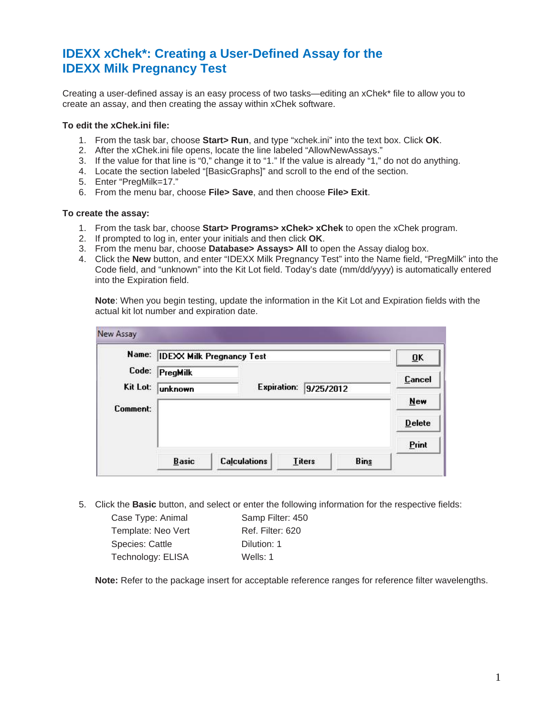## **IDEXX xChek\*: Creating a User-Defined Assay for the IDEXX Milk Pregnancy Test**

Creating a user-defined assay is an easy process of two tasks—editing an xChek\* file to allow you to create an assay, and then creating the assay within xChek software.

## **To edit the xChek.ini file:**

- 1. From the task bar, choose **Start> Run**, and type "xchek.ini" into the text box. Click **OK**.
- 2. After the xChek.ini file opens, locate the line labeled "AllowNewAssays."
- 3. If the value for that line is "0," change it to "1." If the value is already "1," do not do anything.
- 4. Locate the section labeled "[BasicGraphs]" and scroll to the end of the section.
- 5. Enter "PregMilk=17."
- 6. From the menu bar, choose **File> Save**, and then choose **File> Exit**.

## **To create the assay:**

- 1. From the task bar, choose **Start> Programs> xChek> xChek** to open the xChek program.
- 2. If prompted to log in, enter your initials and then click **OK**.
- 3. From the menu bar, choose **Database> Assays> All** to open the Assay dialog box.
- 4. Click the **New** button, and enter "IDEXX Milk Pregnancy Test" into the Name field, "PregMilk" into the Code field, and "unknown" into the Kit Lot field. Today's date (mm/dd/yyyy) is automatically entered into the Expiration field.

**Note**: When you begin testing, update the information in the Kit Lot and Expiration fields with the actual kit lot number and expiration date.

|          | Name: IDEXX Milk Pregnancy Test |                     |                                 |             | ŪK            |
|----------|---------------------------------|---------------------|---------------------------------|-------------|---------------|
| Code:    | PregMilk                        |                     |                                 |             | Cancel        |
| Kit Lot: | unknown                         |                     | <b>Expiration:</b><br>9/25/2012 |             |               |
| Comment: |                                 |                     |                                 |             | <b>New</b>    |
|          |                                 |                     |                                 |             | <b>Delete</b> |
|          |                                 |                     |                                 |             | Print         |
|          | <b>Basic</b>                    | <b>Calculations</b> | <b>Titers</b>                   | <b>Bins</b> |               |

5. Click the **Basic** button, and select or enter the following information for the respective fields:

| Case Type: Animal  | Samp Filter: 450 |
|--------------------|------------------|
| Template: Neo Vert | Ref. Filter: 620 |
| Species: Cattle    | Dilution: 1      |
| Technology: ELISA  | Wells: $1$       |
|                    |                  |

**Note:** Refer to the package insert for acceptable reference ranges for reference filter wavelengths.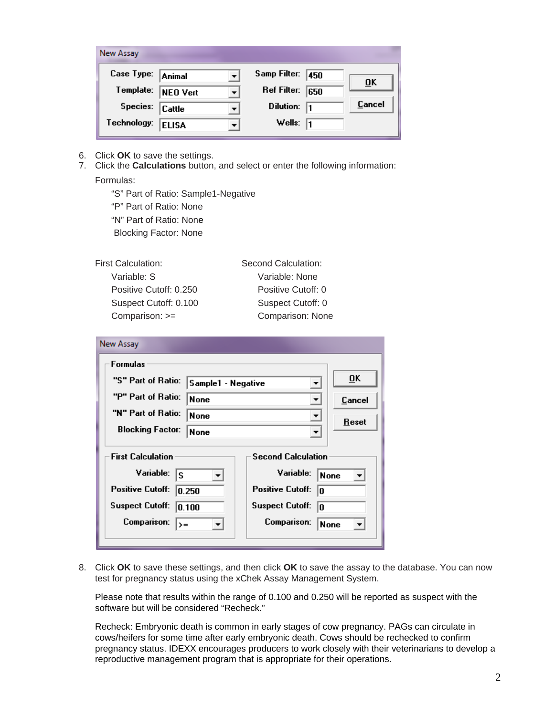| New Assay   |               |   |                     |        |
|-------------|---------------|---|---------------------|--------|
| Case Type:  | <b>Animal</b> |   | Samp Filter:<br>450 |        |
| Template:   | NEO Vert      | ÷ | Ref Filter:<br>650  | ŪΚ     |
| Species:    | Cattle        |   | Dilution:<br>11     | Cancel |
| Technology: | <b>ELISA</b>  |   | Wells:<br>11        |        |

- 6. Click **OK** to save the settings.
- 7. Click the **Calculations** button, and select or enter the following information: Formulas:

"S" Part of Ratio: Sample1-Negative "P" Part of Ratio: None "N" Part of Ratio: None Blocking Factor: None

First Calculation: Second Calculation:

 Variable: S Variable: None Positive Cutoff: 0.250 Positive Cutoff: 0 Suspect Cutoff: 0.100 Suspect Cutoff: 0 Comparison: >= Comparison: None

| New Assay                                                                                                                                               |                                                                                                                                      |  |
|---------------------------------------------------------------------------------------------------------------------------------------------------------|--------------------------------------------------------------------------------------------------------------------------------------|--|
| <b>Formulas</b><br>"S" Part of Ratio:<br>Sample1 - Negative<br>"P" Part of Ratio:<br>None<br>"N" Part of Ratio:<br>None<br><b>Blocking Factor:</b>      | $\overline{0}K$<br>▼<br>Cancel<br>▼<br>▼<br><b>Reset</b>                                                                             |  |
| <b>None</b><br><b>First Calculation</b><br>Variable:<br>s<br><b>Positive Cutoff:</b><br>0.250<br><b>Suspect Cutoff:</b><br>0.100<br>Comparison:<br>$>=$ | <b>Second Calculation</b><br>Variable:<br>None<br><b>Positive Cutoff:</b><br>0<br><b>Suspect Cutoff:</b><br>o<br>Comparison:<br>None |  |

8. Click **OK** to save these settings, and then click **OK** to save the assay to the database. You can now test for pregnancy status using the xChek Assay Management System.

Please note that results within the range of 0.100 and 0.250 will be reported as suspect with the software but will be considered "Recheck."

Recheck: Embryonic death is common in early stages of cow pregnancy. PAGs can circulate in cows/heifers for some time after early embryonic death. Cows should be rechecked to confirm pregnancy status. IDEXX encourages producers to work closely with their veterinarians to develop a reproductive management program that is appropriate for their operations.